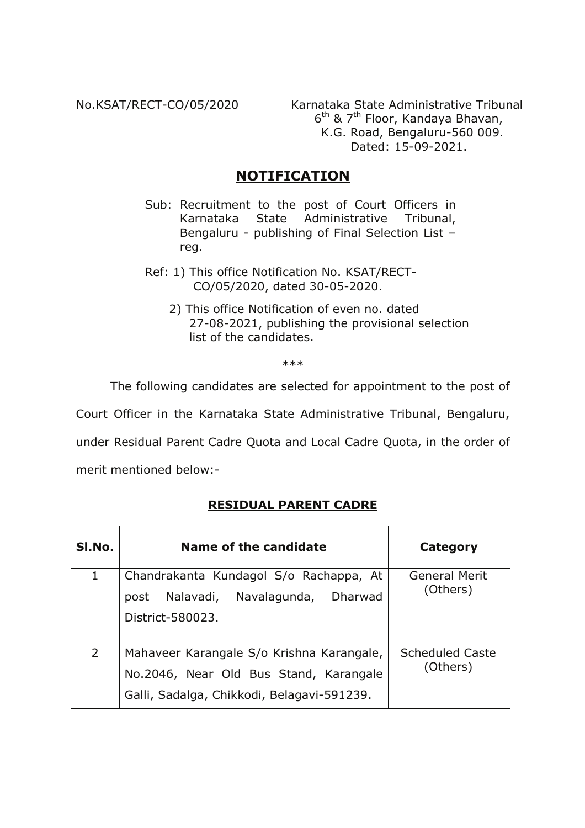No.KSAT/RECT-CO/05/2020

Karnataka State Administrative Tribunal 6<sup>th</sup> & 7<sup>th</sup> Floor, Kandaya Bhavan, K.G. Road, Bengaluru-560 009. Dated: 15-09-2021.

# **NOTIFICATION**

- Sub: Recruitment to the post of Court Officers in State Administrative Tribunal, Karnataka Bengaluru - publishing of Final Selection List reg.
- Ref: 1) This office Notification No. KSAT/RECT-CO/05/2020, dated 30-05-2020.
	- 2) This office Notification of even no. dated 27-08-2021, publishing the provisional selection list of the candidates.

 $***$ 

The following candidates are selected for appointment to the post of

Court Officer in the Karnataka State Administrative Tribunal, Bengaluru,

under Residual Parent Cadre Quota and Local Cadre Quota, in the order of

merit mentioned below:-

## **RESIDUAL PARENT CADRE**

| SI.No.         | Name of the candidate                                                                                                             | Category                           |
|----------------|-----------------------------------------------------------------------------------------------------------------------------------|------------------------------------|
| 1              | Chandrakanta Kundagol S/o Rachappa, At<br>post Nalavadi, Navalagunda, Dharwad<br>District-580023.                                 | <b>General Merit</b><br>(Others)   |
| $\overline{2}$ | Mahaveer Karangale S/o Krishna Karangale,<br>No.2046, Near Old Bus Stand, Karangale<br>Galli, Sadalga, Chikkodi, Belagavi-591239. | <b>Scheduled Caste</b><br>(Others) |